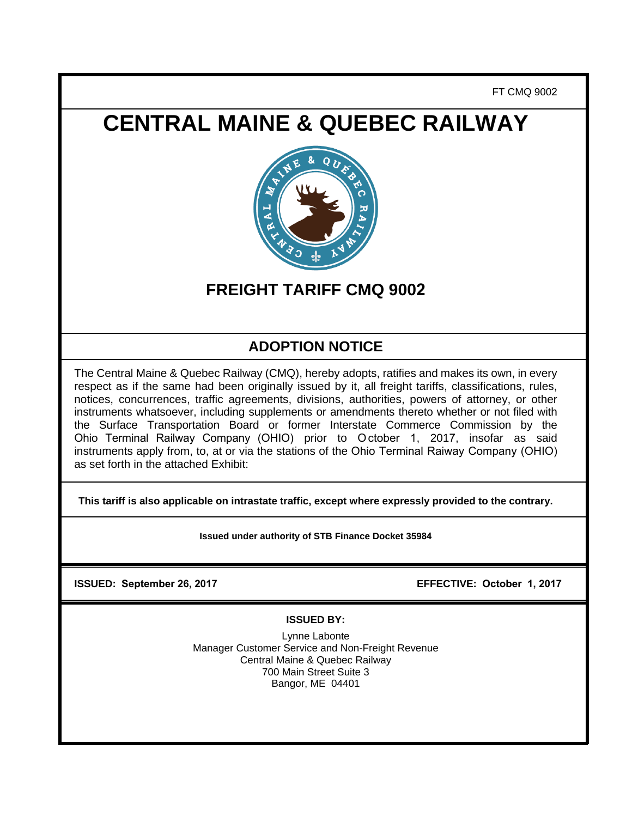FT CMQ 9002

# **CENTRAL MAINE & QUEBEC RAILWAY**



## **FREIGHT TARIFF CMQ 9002**

## **ADOPTION NOTICE**

The Central Maine & Quebec Railway (CMQ), hereby adopts, ratifies and makes its own, in every respect as if the same had been originally issued by it, all freight tariffs, classifications, rules, notices, concurrences, traffic agreements, divisions, authorities, powers of attorney, or other instruments whatsoever, including supplements or amendments thereto whether or not filed with the Surface Transportation Board or former Interstate Commerce Commission by the Ohio Terminal Railway Company (OHIO) prior to October 1, 2017, insofar as said instruments apply from, to, at or via the stations of the Ohio Terminal Raiway Company (OHIO) as set forth in the attached Exhibit:

**This tariff is also applicable on intrastate traffic, except where expressly provided to the contrary.** 

**Issued under authority of STB Finance Docket 35984**

**ISSUED: September 26, 2017 EFFECTIVE: October 1, 2017**

### **ISSUED BY:**

Lynne Labonte Manager Customer Service and Non-Freight Revenue Central Maine & Quebec Railway 700 Main Street Suite 3 Bangor, ME 04401